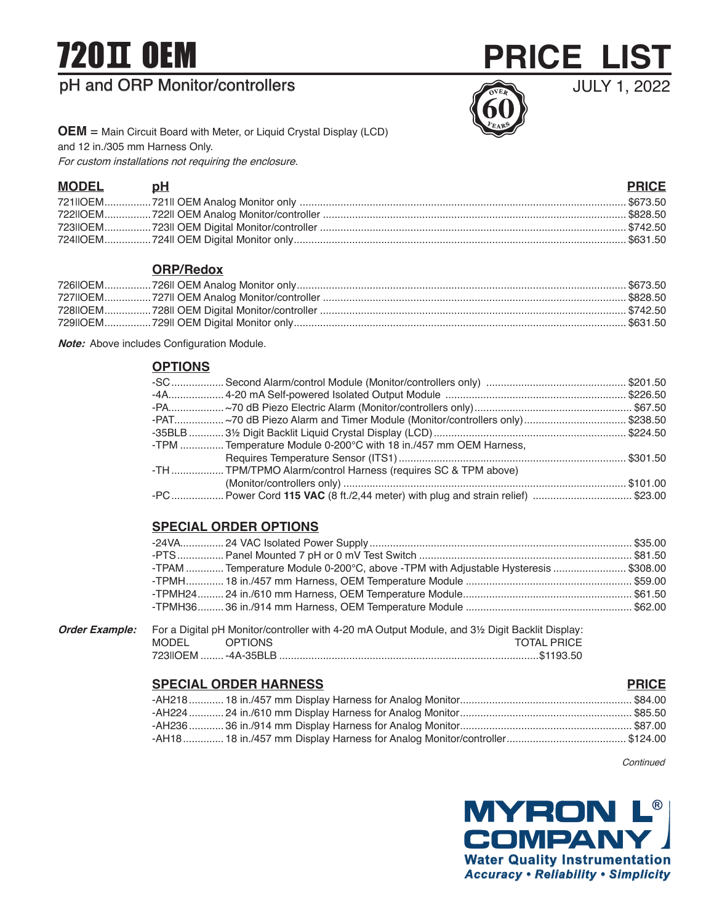# 720 OEM

## pH and ORP Monitor/controllers



JULY 1, 2022

**OEM** = Main Circuit Board with Meter, or Liquid Crystal Display (LCD) and 12 in./305 mm Harness Only. For custom installations not requiring the enclosure.

| MODEL pH | <b>PRICE</b> |
|----------|--------------|
|          |              |
|          |              |
|          |              |
|          |              |

#### **ORP/Redox**

**Note:** Above includes Configuration Module.

#### **OPTIONS**

| -TPM  Temperature Module 0-200°C with 18 in./457 mm OEM Harness, |                                                                                |
|------------------------------------------------------------------|--------------------------------------------------------------------------------|
|                                                                  |                                                                                |
| -TH  TPM/TPMO Alarm/control Harness (requires SC & TPM above)    |                                                                                |
|                                                                  |                                                                                |
|                                                                  | -PC Power Cord 115 VAC (8 ft./2,44 meter) with plug and strain relief) \$23.00 |

### **SPECIAL ORDER OPTIONS**

| TPAM  Temperature Module 0-200°C, above -TPM with Adjustable Hysteresis \$308.00 |  |
|----------------------------------------------------------------------------------|--|
|                                                                                  |  |
|                                                                                  |  |
|                                                                                  |  |

**Order Example:** For a Digital pH Monitor/controller with 4-20 mA Output Module, and 3½ Digit Backlit Display: MODEL OPTIONS SERVICES OPTIONS AND TOTAL PRICE 723IIOEM ........-4A-35BLB .........................................................................................\$1193.50

### **SPECIAL ORDER HARNESS PRICE**

**Continued**